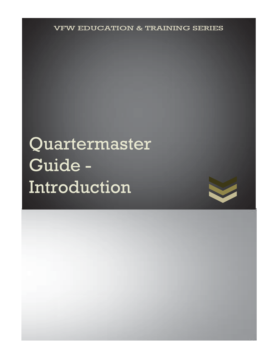**VFW EDUCATION & TRAINING SERIES** 

# Quartermaster Guide - Introduction

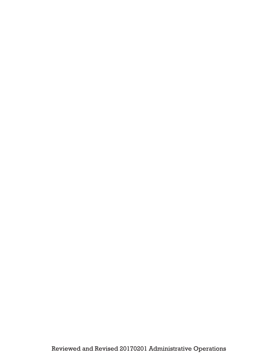Reviewed and Revised 20170201 Administrative Operations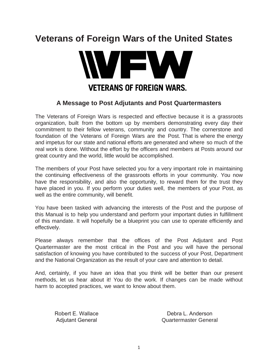## **Veterans of Foreign Wars of the United States**



#### **A Message to Post Adjutants and Post Quartermasters**

The Veterans of Foreign Wars is respected and effective because it is a grassroots organization, built from the bottom up by members demonstrating every day their commitment to their fellow veterans, community and country. The cornerstone and foundation of the Veterans of Foreign Wars are the Post. That is where the energy and impetus for our state and national efforts are generated and where so much of the real work is done. Without the effort by the officers and members at Posts around our great country and the world, little would be accomplished.

The members of your Post have selected you for a very important role in maintaining the continuing effectiveness of the grassroots efforts in your community. You now have the responsibility, and also the opportunity, to reward them for the trust they have placed in you. If you perform your duties well, the members of your Post, as well as the entire community, will benefit.

You have been tasked with advancing the interests of the Post and the purpose of this Manual is to help you understand and perform your important duties in fulfillment of this mandate. It will hopefully be a blueprint you can use to operate efficiently and effectively.

Please always remember that the offices of the Post Adjutant and Post Quartermaster are the most critical in the Post and you will have the personal satisfaction of knowing you have contributed to the success of your Post, Department and the National Organization as the result of your care and attention to detail.

And, certainly, if you have an idea that you think will be better than our present methods, let us hear about it! You do the work. If changes can be made without harm to accepted practices, we want to know about them.

Robert E. Wallace Adjutant General

Debra L. Anderson Quartermaster General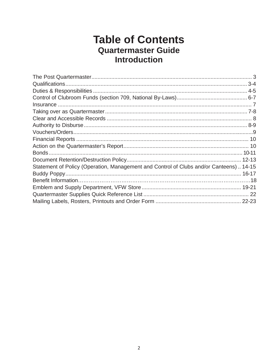## **Table of Contents Quartermaster Guide Introduction**

| Statement of Policy (Operation, Management and Control of Clubs and/or Canteens) 14-15 |  |
|----------------------------------------------------------------------------------------|--|
|                                                                                        |  |
|                                                                                        |  |
|                                                                                        |  |
|                                                                                        |  |
|                                                                                        |  |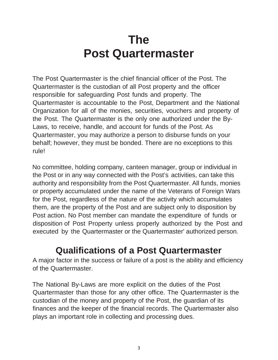# **The Post Quartermaster**

The Post Quartermaster is the chief financial officer of the Post. The Quartermaster is the custodian of all Post property and the officer responsible for safeguarding Post funds and property. The Quartermaster is accountable to the Post, Department and the National Organization for all of the monies, securities, vouchers and property of the Post. The Quartermaster is the only one authorized under the By-Laws, to receive, handle, and account for funds of the Post. As Quartermaster, you may authorize a person to disburse funds on your behalf; however, they must be bonded. There are no exceptions to this rule!

No committee, holding company, canteen manager, group or individual in the Post or in any way connected with the Post's activities, can take this authority and responsibility from the Post Quartermaster. All funds, monies or property accumulated under the name of the Veterans of Foreign Wars for the Post, regardless of the nature of the activity which accumulates them, are the property of the Post and are subject only to disposition by Post action. No Post member can mandate the expenditure of funds or disposition of Post Property unless properly authorized by the Post and executed by the Quartermaster or the Quartermaster' authorized person.

# **Qualifications of a Post Quartermaster**

A major factor in the success or failure of a post is the ability and efficiency of the Quartermaster.

The National By-Laws are more explicit on the duties of the Post Quartermaster than those for any other office. The Quartermaster is the custodian of the money and property of the Post, the guardian of its finances and the keeper of the financial records. The Quartermaster also plays an important role in collecting and processing dues.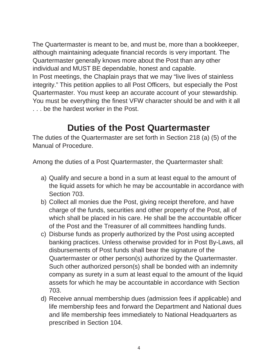The Quartermaster is meant to be, and must be, more than a bookkeeper, although maintaining adequate financial records is very important. The Quartermaster generally knows more about the Post than any other individual and MUST BE dependable, honest and capable. In Post meetings, the Chaplain prays that we may "live lives of stainless integrity." This petition applies to all Post Officers, but especially the Post Quartermaster. You must keep an accurate account of your stewardship. You must be everything the finest VFW character should be and with it all . . . be the hardest worker in the Post.

# **Duties of the Post Quartermaster**

The duties of the Quartermaster are set forth in Section 218 (a) (5) of the Manual of Procedure.

Among the duties of a Post Quartermaster, the Quartermaster shall:

- a) Qualify and secure a bond in a sum at least equal to the amount of the liquid assets for which he may be accountable in accordance with Section 703.
- b) Collect all monies due the Post, giving receipt therefore, and have charge of the funds, securities and other property of the Post, all of which shall be placed in his care. He shall be the accountable officer of the Post and the Treasurer of all committees handling funds.
- c) Disburse funds as properly authorized by the Post using accepted banking practices. Unless otherwise provided for in Post By-Laws, all disbursements of Post funds shall bear the signature of the Quartermaster or other person(s) authorized by the Quartermaster. Such other authorized person(s) shall be bonded with an indemnity company as surety in a sum at least equal to the amount of the liquid assets for which he may be accountable in accordance with Section 703.
- d) Receive annual membership dues (admission fees if applicable) and life membership fees and forward the Department and National dues and life membership fees immediately to National Headquarters as prescribed in Section 104.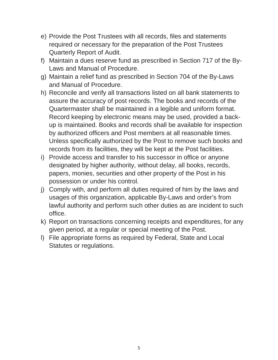- e) Provide the Post Trustees with all records, files and statements required or necessary for the preparation of the Post Trustees Quarterly Report of Audit.
- f) Maintain a dues reserve fund as prescribed in Section 717 of the By-Laws and Manual of Procedure.
- g) Maintain a relief fund as prescribed in Section 704 of the By-Laws and Manual of Procedure.
- h) Reconcile and verify all transactions listed on all bank statements to assure the accuracy of post records. The books and records of the Quartermaster shall be maintained in a legible and uniform format. Record keeping by electronic means may be used, provided a backup is maintained. Books and records shall be available for inspection by authorized officers and Post members at all reasonable times. Unless specifically authorized by the Post to remove such books and records from its facilities, they will be kept at the Post facilities.
- i) Provide access and transfer to his successor in office or anyone designated by higher authority, without delay, all books, records, papers, monies, securities and other property of the Post in his possession or under his control.
- j) Comply with, and perform all duties required of him by the laws and usages of this organization, applicable By-Laws and order's from lawful authority and perform such other duties as are incident to such office.
- k) Report on transactions concerning receipts and expenditures, for any given period, at a regular or special meeting of the Post.
- l) File appropriate forms as required by Federal, State and Local Statutes or regulations.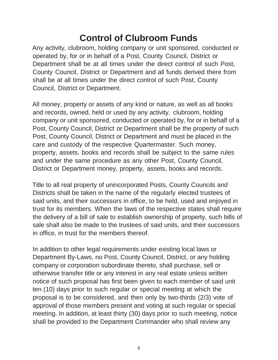# **Control of Clubroom Funds**

Any activity, clubroom, holding company or unit sponsored, conducted or operated by, for or in behalf of a Post, County Council, District or Department shall be at all times under the direct control of such Post, County Council, District or Department and all funds derived there from shall be at all times under the direct control of such Post, County Council, District or Department.

All money, property or assets of any kind or nature, as well as all books and records, owned, held or used by any activity, clubroom, holding company or unit sponsored, conducted or operated by, for or in behalf of a Post, County Council, District or Department shall be the property of such Post, County Council, District or Department and must be placed in the care and custody of the respective Quartermaster. Such money, property, assets, books and records shall be subject to the same rules and under the same procedure as any other Post, County Council, District or Department money, property, assets, books and records.

Title to all real property of unincorporated Posts, County Councils and Districts shall be taken in the name of the regularly elected trustees of said units, and their successors in office, to be held, used and enjoyed in trust for its members. When the laws of the respective states shall require the delivery of a bill of sale to establish ownership of property, such bills of sale shall also be made to the trustees of said units, and their successors in office, in trust for the members thereof.

In addition to other legal requirements under existing local laws or Department By-Laws, no Post, County Council, District, or any holding company or corporation subordinate thereto, shall purchase, sell or otherwise transfer title or any interest in any real estate unless written notice of such proposal has first been given to each member of said unit ten (10) days prior to such regular or special meeting at which the proposal is to be considered, and then only by two-thirds (2/3) vote of approval of those members present and voting at such regular or special meeting. In addition, at least thirty (30) days prior to such meeting, notice shall be provided to the Department Commander who shall review any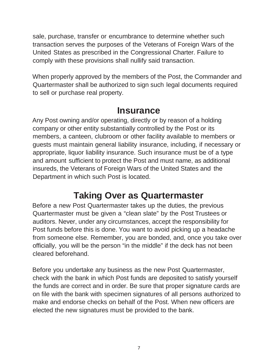sale, purchase, transfer or encumbrance to determine whether such transaction serves the purposes of the Veterans of Foreign Wars of the United States as prescribed in the Congressional Charter. Failure to comply with these provisions shall nullify said transaction.

When properly approved by the members of the Post, the Commander and Quartermaster shall be authorized to sign such legal documents required to sell or purchase real property.

### **Insurance**

Any Post owning and/or operating, directly or by reason of a holding company or other entity substantially controlled by the Post or its members, a canteen, clubroom or other facility available to members or guests must maintain general liability insurance, including, if necessary or appropriate, liquor liability insurance. Such insurance must be of a type and amount sufficient to protect the Post and must name, as additional insureds, the Veterans of Foreign Wars of the United States and the Department in which such Post is located.

# **Taking Over as Quartermaster**

Before a new Post Quartermaster takes up the duties, the previous Quartermaster must be given a "clean slate" by the Post Trustees or auditors. Never, under any circumstances, accept the responsibility for Post funds before this is done. You want to avoid picking up a headache from someone else. Remember, you are bonded, and, once you take over officially, you will be the person "in the middle" if the deck has not been cleared beforehand.

Before you undertake any business as the new Post Quartermaster, check with the bank in which Post funds are deposited to satisfy yourself the funds are correct and in order. Be sure that proper signature cards are on file with the bank with specimen signatures of all persons authorized to make and endorse checks on behalf of the Post. When new officers are elected the new signatures must be provided to the bank.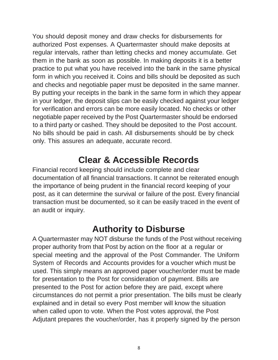You should deposit money and draw checks for disbursements for authorized Post expenses. A Quartermaster should make deposits at regular intervals, rather than letting checks and money accumulate. Get them in the bank as soon as possible. In making deposits it is a better practice to put what you have received into the bank in the same physical form in which you received it. Coins and bills should be deposited as such and checks and negotiable paper must be deposited in the same manner. By putting your receipts in the bank in the same form in which they appear in your ledger, the deposit slips can be easily checked against your ledger for verification and errors can be more easily located. No checks or other negotiable paper received by the Post Quartermaster should be endorsed to a third party or cashed. They should be deposited to the Post account. No bills should be paid in cash. All disbursements should be by check only. This assures an adequate, accurate record.

# **Clear & Accessible Records**

Financial record keeping should include complete and clear documentation of all financial transactions. It cannot be reiterated enough the importance of being prudent in the financial record keeping of your post, as it can determine the survival or failure of the post. Every financial transaction must be documented, so it can be easily traced in the event of an audit or inquiry.

# **Authority to Disburse**

A Quartermaster may NOT disburse the funds of the Post without receiving proper authority from that Post by action on the floor at a regular or special meeting and the approval of the Post Commander. The Uniform System of Records and Accounts provides for a voucher which must be used. This simply means an approved paper voucher/order must be made for presentation to the Post for consideration of payment. Bills are presented to the Post for action before they are paid, except where circumstances do not permit a prior presentation. The bills must be clearly explained and in detail so every Post member will know the situation when called upon to vote. When the Post votes approval, the Post Adjutant prepares the voucher/order, has it properly signed by the person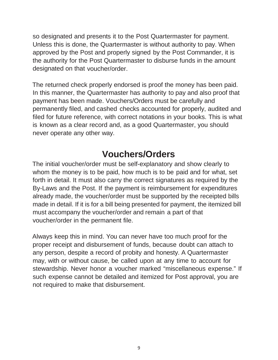so designated and presents it to the Post Quartermaster for payment. Unless this is done, the Quartermaster is without authority to pay. When approved by the Post and properly signed by the Post Commander, it is the authority for the Post Quartermaster to disburse funds in the amount designated on that voucher/order.

The returned check properly endorsed is proof the money has been paid. In this manner, the Quartermaster has authority to pay and also proof that payment has been made. Vouchers/Orders must be carefully and permanently filed, and cashed checks accounted for properly, audited and filed for future reference, with correct notations in your books. This is what is known as a clear record and, as a good Quartermaster, you should never operate any other way.

## **Vouchers/Orders**

The initial voucher/order must be self-explanatory and show clearly to whom the money is to be paid, how much is to be paid and for what, set forth in detail. It must also carry the correct signatures as required by the By-Laws and the Post. If the payment is reimbursement for expenditures already made, the voucher/order must be supported by the receipted bills made in detail. If it is for a bill being presented for payment, the itemized bill must accompany the voucher/order and remain a part of that voucher/order in the permanent file.

Always keep this in mind. You can never have too much proof for the proper receipt and disbursement of funds, because doubt can attach to any person, despite a record of probity and honesty. A Quartermaster may, with or without cause, be called upon at any time to account for stewardship. Never honor a voucher marked "miscellaneous expense." If such expense cannot be detailed and itemized for Post approval, you are not required to make that disbursement.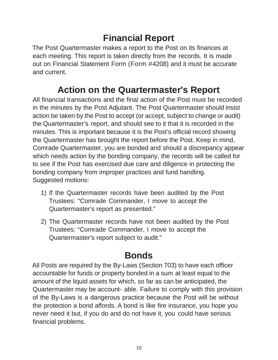# **Financial Report**

The Post Quartermaster makes a report to the Post on its finances at each meeting. This report is taken directly from the records. It is made out on Financial Statement Form (Form #4208) and it must be accurate and current.

# **Action on the Quartermaster's Report**

All financial transactions and the final action of the Post must be recorded in the minutes by the Post Adjutant. The Post Quartermaster should insist action be taken by the Post to accept (or accept, subject to change or audit) the Quartermaster's report, and should see to it that it is recorded in the minutes. This is important because it is the Post's official record showing the Quartermaster has brought the report before the Post. Keep in mind, Comrade Quartermaster, you are bonded and should a discrepancy appear which needs action by the bonding company, the records will be called for to see if the Post has exercised due care and diligence in protecting the bonding company from improper practices and fund handling. Suggested motions:

- 1) If the Quartermaster records have been audited by the Post Trustees: "Comrade Commander, I move to accept the Quartermaster's report as presented."
- 2) The Quartermaster records have not been audited by the Post Trustees: "Comrade Commander, I move to accept the Quartermaster's report subject to audit."

# **Bonds**

All Posts are required by the By-Laws (Section 703) to have each officer accountable for funds or property bonded in a sum at least equal to the amount of the liquid assets for which, so far as can be anticipated, the Quartermaster may be account- able. Failure to comply with this provision of the By-Laws is a dangerous practice because the Post will be without the protection a bond affords. A bond is like fire insurance, you hope you never need it but, if you do and do not have it, you could have serious financial problems.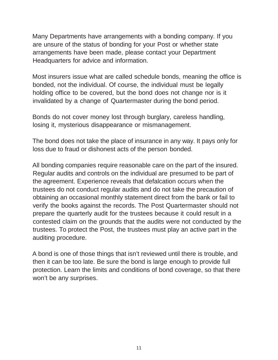Many Departments have arrangements with a bonding company. If you are unsure of the status of bonding for your Post or whether state arrangements have been made, please contact your Department Headquarters for advice and information.

Most insurers issue what are called schedule bonds, meaning the office is bonded, not the individual. Of course, the individual must be legally holding office to be covered, but the bond does not change nor is it invalidated by a change of Quartermaster during the bond period.

Bonds do not cover money lost through burglary, careless handling, losing it, mysterious disappearance or mismanagement.

The bond does not take the place of insurance in any way. It pays only for loss due to fraud or dishonest acts of the person bonded.

All bonding companies require reasonable care on the part of the insured. Regular audits and controls on the individual are presumed to be part of the agreement. Experience reveals that defalcation occurs when the trustees do not conduct regular audits and do not take the precaution of obtaining an occasional monthly statement direct from the bank or fail to verify the books against the records. The Post Quartermaster should not prepare the quarterly audit for the trustees because it could result in a contested claim on the grounds that the audits were not conducted by the trustees. To protect the Post, the trustees must play an active part in the auditing procedure.

A bond is one of those things that isn't reviewed until there is trouble, and then it can be too late. Be sure the bond is large enough to provide full protection. Learn the limits and conditions of bond coverage, so that there won't be any surprises.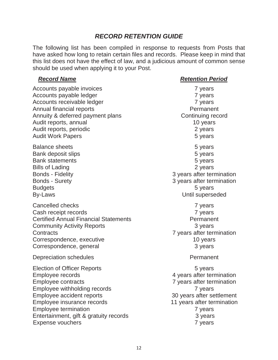#### *RECORD RETENTION GUIDE*

The following list has been compiled in response to requests from Posts that have asked how long to retain certain files and records. Please keep in mind that this list does not have the effect of law, and a judicious amount of common sense should be used when applying it to your Post.

*Record Name* Retention Period

| 7 years<br>7 years<br>7 years<br>Permanent<br>Continuing record<br>10 years<br>2 years<br>5 years                                                                        |
|--------------------------------------------------------------------------------------------------------------------------------------------------------------------------|
| 5 years<br>5 years<br>5 years<br>2 years<br>3 years after termination<br>3 years after termination<br>5 years<br>Until superseded                                        |
| 7 years<br>7 years<br>Permanent<br>3 years<br>7 years after termination<br>10 years<br>3 years                                                                           |
| Permanent                                                                                                                                                                |
| 5 years<br>4 years after termination<br>7 years after termination<br>7 years<br>30 years after settlement<br>11 years after termination<br>7 years<br>3 years<br>7 years |
|                                                                                                                                                                          |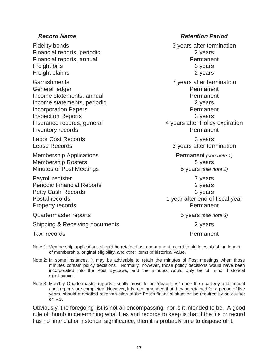Financial reports, periodic and a set of the 2 years 2 years Financial reports, annual example of the example of the Permanent Freight bills 3 years 3 years Freight claims 2 years 2 years

General ledger **Permanent** Permanent Income statements, annual Permanent Income statements, periodic and a series of the 2 years 2 Incorporation Papers **Permanent** Inspection Reports **3** years 3 years Inventory records **Permanent** 

Membership Rosters 6 years 5 years

Periodic Financial Reports 2 years Petty Cash Records **3** years

Shipping & Receiving documents **2** years

Tax records Permanent

*Record Name Retention Period*

Fidelity bonds **3** years after termination Garnishments **6** Garnishments **6** Garnishments **6** Garnishments **6** Garnishments **6** Garnishments **6** Garnishments **6** Garnishments **6** Garnishments **6** Garnishments **6** Garnishments **6** Garnishments **6** Garnishments **6** G Insurance records, general 4 years after Policy expiration Labor Cost Records **3 years** 3 years Lease Records **3** years after termination Membership Applications Permanent *(see note 1)* Minutes of Post Meetings **5** years *(see note 2)* Payroll register 7 years Postal records **1** year after end of fiscal year Property records **Permanent** Quartermaster reports **6** years *(see note 3)* 

Note 1: Membership applications should be retained as a permanent record to aid in establishing length of membership, original eligibility, and other items of historical value.

Note 2: In some instances, it may be advisable to retain the minutes of Post meetings when those minutes contain policy decisions. Normally, however, those policy decisions would have been incorporated into the Post By-Laws, and the minutes would only be of minor historical significance.

Note 3: Monthly Quartermaster reports usually prove to be "dead files" once the quarterly and annual audit reports are completed. However, it is recommended that they be retained for a period of five years, should a detailed reconstruction of the Post's financial situation be required by an auditor or IRS.

Obviously, the foregoing list is not all-encompassing, nor is it intended to be. A good rule of thumb in determining what files and records to keep is that if the file or record has no financial or historical significance, then it is probably time to dispose of it.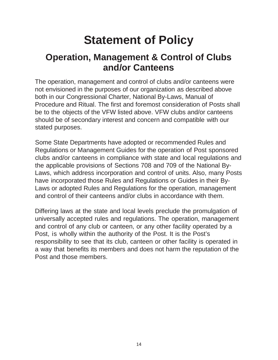# **Statement of Policy**

# **Operation, Management & Control of Clubs and/or Canteens**

The operation, management and control of clubs and/or canteens were not envisioned in the purposes of our organization as described above both in our Congressional Charter, National By-Laws, Manual of Procedure and Ritual. The first and foremost consideration of Posts shall be to the objects of the VFW listed above. VFW clubs and/or canteens should be of secondary interest and concern and compatible with our stated purposes.

Some State Departments have adopted or recommended Rules and Regulations or Management Guides for the operation of Post sponsored clubs and/or canteens in compliance with state and local regulations and the applicable provisions of Sections 708 and 709 of the National By-Laws, which address incorporation and control of units. Also, many Posts have incorporated those Rules and Regulations or Guides in their By-Laws or adopted Rules and Regulations for the operation, management and control of their canteens and/or clubs in accordance with them.

Differing laws at the state and local levels preclude the promulgation of universally accepted rules and regulations. The operation, management and control of any club or canteen, or any other facility operated by a Post, is wholly within the authority of the Post. It is the Post's responsibility to see that its club, canteen or other facility is operated in a way that benefits its members and does not harm the reputation of the Post and those members.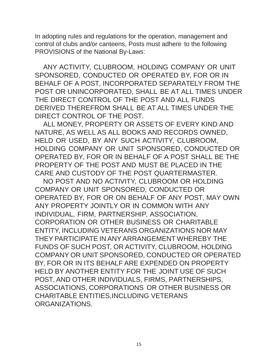In adopting rules and regulations for the operation, management and control of clubs and/or canteens, Posts must adhere to the following PROVISIONS of the National By-Laws:

ANY ACTIVITY, CLUBROOM, HOLDING COMPANY OR UNIT SPONSORED, CONDUCTED OR OPERATED BY, FOR OR IN BEHALF OF A POST, INCORPORATED SEPARATELY FROM THE POST OR UNINCORPORATED, SHALL BE AT ALL TIMES UNDER THE DIRECT CONTROL OF THE POST AND ALL FUNDS DERIVED THEREFROM SHALL BE AT ALL TIMES UNDER THE DIRECT CONTROL OF THE POST.

ALL MONEY, PROPERTY OR ASSETS OF EVERY KIND AND NATURE, AS WELL AS ALL BOOKS AND RECORDS OWNED, HELD OR USED, BY ANY SUCH ACTIVITY, CLUBROOM, HOLDING COMPANY OR UNIT SPONSORED, CONDUCTED OR OPERATED BY, FOR OR IN BEHALF OF A POST SHALL BE THE PROPERTY OF THE POST AND MUST BE PLACED IN THE CARE AND CUSTODY OF THE POST QUARTERMASTER.

NO POST AND NO ACTIVITY, CLUBROOM OR HOLDING COMPANY OR UNIT SPONSORED, CONDUCTED OR OPERATED BY, FOR OR ON BEHALF OF ANY POST, MAY OWN ANY PROPERTY JOINTLY OR IN COMMON WITH ANY INDIVIDUAL, FIRM, PARTNERSHIP, ASSOCIATION, CORPORATION OR OTHER BUSINESS OR CHARITABLE ENTITY, INCLUDING VETERANS ORGANIZATIONS NOR MAY THEY PARTICIPATE IN ANY ARRANGEMENT WHEREBY THE FUNDS OF SUCH POST, OR ACTIVITY, CLUBROOM, HOLDING COMPANY OR UNIT SPONSORED, CONDUCTED OR OPERATED BY, FOR OR IN ITS BEHALF ARE EXPENDED ON PROPERTY HELD BY ANOTHER ENTITY FOR THE JOINT USE OF SUCH POST, AND OTHER INDIVIDUALS, FIRMS, PARTNERSHIPS, ASSOCIATIONS, CORPORATIONS OR OTHER BUSINESS OR CHARITABLE ENTITIES,INCLUDING VETERANS ORGANIZATIONS.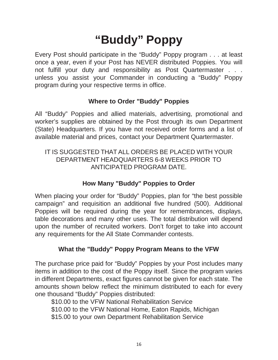# **"Buddy" Poppy**

Every Post should participate in the "Buddy" Poppy program . . . at least once a year, even if your Post has NEVER distributed Poppies. You will not fulfill your duty and responsibility as Post Quartermaster . . . unless you assist your Commander in conducting a "Buddy" Poppy program during your respective terms in office.

#### **Where to Order "Buddy" Poppies**

All "Buddy" Poppies and allied materials, advertising, promotional and worker's supplies are obtained by the Post through its own Department (State) Headquarters. If you have not received order forms and a list of available material and prices, contact your Department Quartermaster.

#### IT IS SUGGESTED THAT ALL ORDERS BE PLACED WITH YOUR DEPARTMENT HEADQUARTERS 6-8 WEEKS PRIOR TO ANTICIPATED PROGRAM DATE.

#### **How Many "Buddy" Poppies to Order**

When placing your order for "Buddy" Poppies, plan for "the best possible campaign" and requisition an additional five hundred (500). Additional Poppies will be required during the year for remembrances, displays, table decorations and many other uses. The total distribution will depend upon the number of recruited workers. Don't forget to take into account any requirements for the All State Commander contests.

#### **What the "Buddy" Poppy Program Means to the VFW**

The purchase price paid for "Buddy" Poppies by your Post includes many items in addition to the cost of the Poppy itself. Since the program varies in different Departments, exact figures cannot be given for each state. The amounts shown below reflect the minimum distributed to each for every one thousand "Buddy" Poppies distributed:

\$10.00 to the VFW National Rehabilitation Service \$10.00 to the VFW National Home, Eaton Rapids, Michigan \$15.00 to your own Department Rehabilitation Service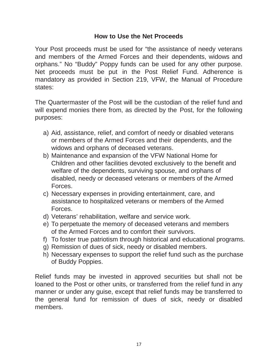#### **How to Use the Net Proceeds**

Your Post proceeds must be used for "the assistance of needy veterans and members of the Armed Forces and their dependents, widows and orphans." No "Buddy" Poppy funds can be used for any other purpose. Net proceeds must be put in the Post Relief Fund. Adherence is mandatory as provided in Section 219, VFW, the Manual of Procedure states:

The Quartermaster of the Post will be the custodian of the relief fund and will expend monies there from, as directed by the Post, for the following purposes:

- a) Aid, assistance, relief, and comfort of needy or disabled veterans or members of the Armed Forces and their dependents, and the widows and orphans of deceased veterans.
- b) Maintenance and expansion of the VFW National Home for Children and other facilities devoted exclusively to the benefit and welfare of the dependents, surviving spouse, and orphans of disabled, needy or deceased veterans or members of the Armed Forces.
- c) Necessary expenses in providing entertainment, care, and assistance to hospitalized veterans or members of the Armed Forces.
- d) Veterans' rehabilitation, welfare and service work.
- e) To perpetuate the memory of deceased veterans and members of the Armed Forces and to comfort their survivors.
- f) To foster true patriotism through historical and educational programs.
- g) Remission of dues of sick, needy or disabled members.
- h) Necessary expenses to support the relief fund such as the purchase of Buddy Poppies.

Relief funds may be invested in approved securities but shall not be loaned to the Post or other units, or transferred from the relief fund in any manner or under any guise, except that relief funds may be transferred to the general fund for remission of dues of sick, needy or disabled members.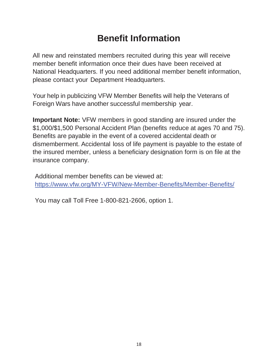# **Benefit Information**

All new and reinstated members recruited during this year will receive member benefit information once their dues have been received at National Headquarters. If you need additional member benefit information, please contact your Department Headquarters.

Your help in publicizing VFW Member Benefits will help the Veterans of Foreign Wars have another successful membership year.

**Important Note:** VFW members in good standing are insured under the \$1,000/\$1,500 Personal Accident Plan (benefits reduce at ages 70 and 75). Benefits are payable in the event of a covered accidental death or dismemberment. Accidental loss of life payment is payable to the estate of the insured member, unless a beneficiary designation form is on file at the insurance company.

Additional member benefits can be viewed at: https://www.vfw.org/MY-VFW/New-Member-Benefits/Member-Benefits/

You may call Toll Free 1-800-821-2606, option 1.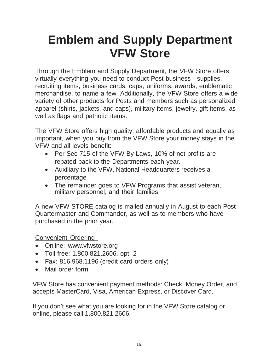# **Emblem and Supply Department VFW Store**

Through the Emblem and Supply Department, the VFW Store offers virtually everything you need to conduct Post business - supplies, recruiting items, business cards, caps, uniforms, awards, emblematic merchandise, to name a few. Additionally, the VFW Store offers a wide variety of other products for Posts and members such as personalized apparel (shirts, jackets, and caps), military items, jewelry, gift items, as well as flags and patriotic items.

The VFW Store offers high quality, affordable products and equally as important, when you buy from the VFW Store your money stays in the VFW and all levels benefit:

- Per Sec 715 of the VFW By-Laws, 10% of net profits are rebated back to the Departments each year.
- Auxiliary to the VFW, National Headquarters receives a percentage
- The remainder goes to VFW Programs that assist veteran, military personnel, and their families.

A new VFW STORE catalog is mailed annually in August to each Post Quartermaster and Commander, as well as to members who have purchased in the prior year.

Convenient Ordering

- Online: www.vfwstore.org
- Toll free: 1.800.821.2606, opt. 2
- Fax: 816.968.1196 (credit card orders only)
- Mail order form

VFW Store has convenient payment methods: Check, Money Order, and accepts MasterCard, Visa, American Express, or Discover Card.

If you don't see what you are looking for in the VFW Store catalog or online, please call 1.800.821.2606.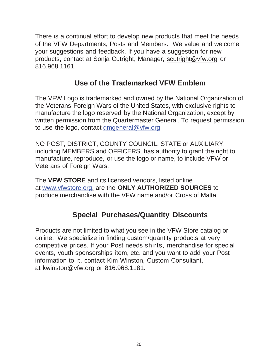There is a continual effort to develop new products that meet the needs of the VFW Departments, Posts and Members. We value and welcome your suggestions and feedback. If you have a suggestion for new products, contact at Sonja Cutright, Manager, scutright@vfw.org or 816.968.1161.

#### **Use of the Trademarked VFW Emblem**

The VFW Logo is trademarked and owned by the National Organization of the Veterans Foreign Wars of the United States, with exclusive rights to manufacture the logo reserved by the National Organization, except by written permission from the Quartermaster General. To request permission to use the logo, contact qmgeneral@vfw.org

NO POST, DISTRICT, COUNTY COUNCIL, STATE or AUXILIARY, including MEMBERS and OFFICERS, has authority to grant the right to manufacture, reproduce, or use the logo or name, to include VFW or Veterans of Foreign Wars.

The **VFW STORE** and its licensed vendors, listed online at www.vfwstore.org, are the **ONLY AUTHORIZED SOURCES** to produce merchandise with the VFW name and/or Cross of Malta.

#### **Special Purchases/Quantity Discounts**

Products are not limited to what you see in the VFW Store catalog or online. We specialize in finding custom/quantity products at very competitive prices. If your Post needs shirts, merchandise for special events, youth sponsorships item, etc. and you want to add your Post information to it, contact Kim Winston, Custom Consultant, at kwinston@vfw.org or 816.968.1181.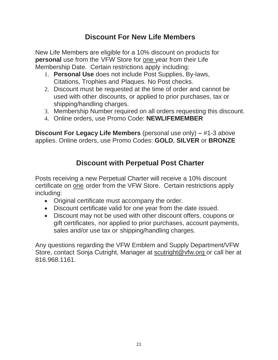#### **Discount For New Life Members**

New Life Members are eligible for a 10% discount on products for **personal** use from the VFW Store for one year from their Life Membership Date. Certain restrictions apply including:

- 1. **Personal Use** does not include Post Supplies, By-laws, Citations, Trophies and Plaques. No Post checks.
- 2. Discount must be requested at the time of order and cannot be used with other discounts, or applied to prior purchases, tax or shipping/handling charges.
- 3. Membership Number required on all orders requesting this discount.
- 4. Online orders, use Promo Code: **NEWLIFEMEMBER**

**Discount For Legacy Life Members** (personal use only) **–** #1-3 above applies. Online orders, use Promo Codes: **GOLD**, **SILVER** or **BRONZE**

### **Discount with Perpetual Post Charter**

Posts receiving a new Perpetual Charter will receive a 10% discount certificate on one order from the VFW Store. Certain restrictions apply including:

- Original certificate must accompany the order.
- Discount certificate valid for one year from the date issued.
- Discount may not be used with other discount offers, coupons or gift certificates, nor applied to prior purchases, account payments, sales and/or use tax or shipping/handling charges.

Any questions regarding the VFW Emblem and Supply Department/VFW Store, contact Sonja Cutright, Manager at scutright@vfw.org or call her at 816.968.1161.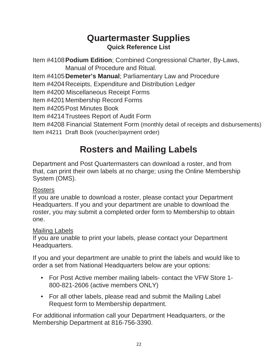### **Quartermaster Supplies Quick Reference List**

Item #4108**Podium Edition**; Combined Congressional Charter, By-Laws, Manual of Procedure and Ritual. Item #4105**Demeter's Manual**; Parliamentary Law and Procedure Item #4204Receipts, Expenditure and Distribution Ledger Item #4200 Miscellaneous Receipt Forms Item #4201 Membership Record Forms Item #4205Post Minutes Book Item #4214Trustees Report of Audit Form Item #4208 Financial Statement Form (monthly detail of receipts and disbursements) Item #4211 Draft Book (voucher/payment order)

# **Rosters and Mailing Labels**

Department and Post Quartermasters can download a roster, and from that, can print their own labels at no charge; using the Online Membership System (OMS).

#### Rosters

If you are unable to download a roster, please contact your Department Headquarters. If you and your department are unable to download the roster, you may submit a completed order form to Membership to obtain one.

#### Mailing Labels

If you are unable to print your labels, please contact your Department Headquarters.

If you and your department are unable to print the labels and would like to order a set from National Headquarters below are your options:

- For Post Active member mailing labels- contact the VFW Store 1- 800-821-2606 (active members ONLY)
- For all other labels, please read and submit the Mailing Label Request form to Membership department.

For additional information call your Department Headquarters, or the Membership Department at 816-756-3390.